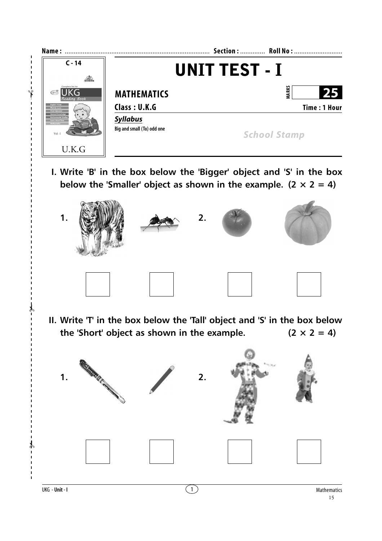

**I. Write 'B' in the box below the 'Bigger' object and 'S' in the box below the 'Smaller' object as shown in the example.**  $(2 \times 2 = 4)$ 



**II. Write 'T' in the box below the 'Tall' object and 'S' in the box below** the 'Short' object as shown in the example.  $(2 \times 2 = 4)$ 



✃

✃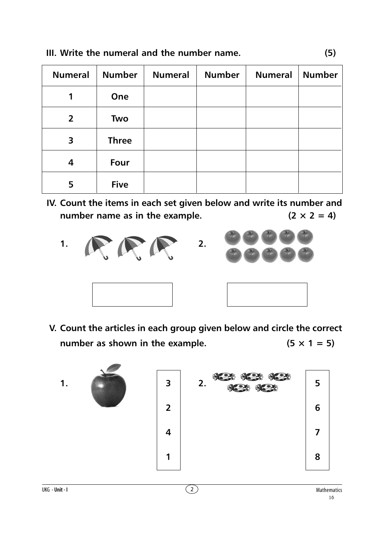| <b>Numeral</b>          | <b>Number</b> | <b>Numeral</b> | <b>Number</b> | <b>Numeral</b> | <b>Number</b> |
|-------------------------|---------------|----------------|---------------|----------------|---------------|
| 1                       | One           |                |               |                |               |
| $\overline{2}$          | Two           |                |               |                |               |
| $\overline{\mathbf{3}}$ | <b>Three</b>  |                |               |                |               |
| 4                       | Four          |                |               |                |               |
| 5                       | <b>Five</b>   |                |               |                |               |

**IV. Count the items in each set given below and write its number and** number name as in the example.  $(2 \times 2 = 4)$ 





**V. Count the articles in each group given below and circle the correct number as shown in the example.** ( $5 \times 1 = 5$ )